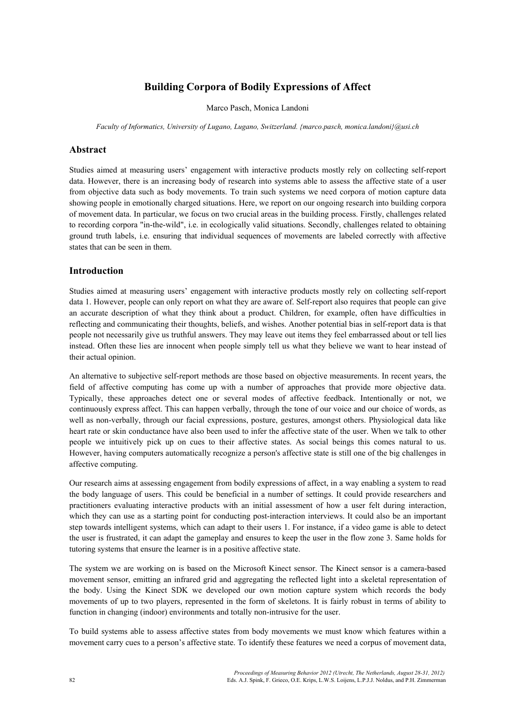# **Building Corpora of Bodily Expressions of Affect**

Marco Pasch, Monica Landoni

*Faculty of Informatics, University of Lugano, Lugano, Switzerland. {marco.pasch, monica.landoni}@usi.ch* 

#### **Abstract**

Studies aimed at measuring users' engagement with interactive products mostly rely on collecting self-report data. However, there is an increasing body of research into systems able to assess the affective state of a user from objective data such as body movements. To train such systems we need corpora of motion capture data showing people in emotionally charged situations. Here, we report on our ongoing research into building corpora of movement data. In particular, we focus on two crucial areas in the building process. Firstly, challenges related to recording corpora "in-the-wild", i.e. in ecologically valid situations. Secondly, challenges related to obtaining ground truth labels, i.e. ensuring that individual sequences of movements are labeled correctly with affective states that can be seen in them.

### **Introduction**

Studies aimed at measuring users' engagement with interactive products mostly rely on collecting self-report data 1. However, people can only report on what they are aware of. Self-report also requires that people can give an accurate description of what they think about a product. Children, for example, often have difficulties in reflecting and communicating their thoughts, beliefs, and wishes. Another potential bias in self-report data is that people not necessarily give us truthful answers. They may leave out items they feel embarrassed about or tell lies instead. Often these lies are innocent when people simply tell us what they believe we want to hear instead of their actual opinion.

An alternative to subjective self-report methods are those based on objective measurements. In recent years, the field of affective computing has come up with a number of approaches that provide more objective data. Typically, these approaches detect one or several modes of affective feedback. Intentionally or not, we continuously express affect. This can happen verbally, through the tone of our voice and our choice of words, as well as non-verbally, through our facial expressions, posture, gestures, amongst others. Physiological data like heart rate or skin conductance have also been used to infer the affective state of the user. When we talk to other people we intuitively pick up on cues to their affective states. As social beings this comes natural to us. However, having computers automatically recognize a person's affective state is still one of the big challenges in affective computing.

Our research aims at assessing engagement from bodily expressions of affect, in a way enabling a system to read the body language of users. This could be beneficial in a number of settings. It could provide researchers and practitioners evaluating interactive products with an initial assessment of how a user felt during interaction, which they can use as a starting point for conducting post-interaction interviews. It could also be an important step towards intelligent systems, which can adapt to their users 1. For instance, if a video game is able to detect the user is frustrated, it can adapt the gameplay and ensures to keep the user in the flow zone 3. Same holds for tutoring systems that ensure the learner is in a positive affective state.

The system we are working on is based on the Microsoft Kinect sensor. The Kinect sensor is a camera-based movement sensor, emitting an infrared grid and aggregating the reflected light into a skeletal representation of the body. Using the Kinect SDK we developed our own motion capture system which records the body movements of up to two players, represented in the form of skeletons. It is fairly robust in terms of ability to function in changing (indoor) environments and totally non-intrusive for the user.

To build systems able to assess affective states from body movements we must know which features within a movement carry cues to a person's affective state. To identify these features we need a corpus of movement data,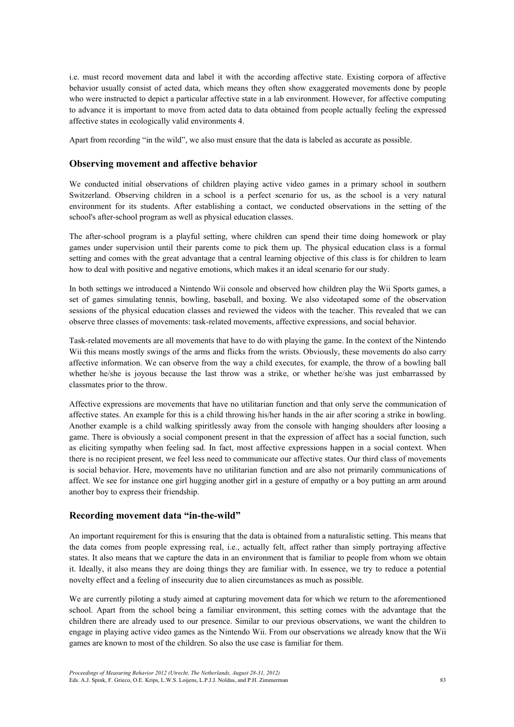i.e. must record movement data and label it with the according affective state. Existing corpora of affective behavior usually consist of acted data, which means they often show exaggerated movements done by people who were instructed to depict a particular affective state in a lab environment. However, for affective computing to advance it is important to move from acted data to data obtained from people actually feeling the expressed affective states in ecologically valid environments 4.

Apart from recording "in the wild", we also must ensure that the data is labeled as accurate as possible.

### **Observing movement and affective behavior**

We conducted initial observations of children playing active video games in a primary school in southern Switzerland. Observing children in a school is a perfect scenario for us, as the school is a very natural environment for its students. After establishing a contact, we conducted observations in the setting of the school's after-school program as well as physical education classes.

The after-school program is a playful setting, where children can spend their time doing homework or play games under supervision until their parents come to pick them up. The physical education class is a formal setting and comes with the great advantage that a central learning objective of this class is for children to learn how to deal with positive and negative emotions, which makes it an ideal scenario for our study.

In both settings we introduced a Nintendo Wii console and observed how children play the Wii Sports games, a set of games simulating tennis, bowling, baseball, and boxing. We also videotaped some of the observation sessions of the physical education classes and reviewed the videos with the teacher. This revealed that we can observe three classes of movements: task-related movements, affective expressions, and social behavior.

Task-related movements are all movements that have to do with playing the game. In the context of the Nintendo Wii this means mostly swings of the arms and flicks from the wrists. Obviously, these movements do also carry affective information. We can observe from the way a child executes, for example, the throw of a bowling ball whether he/she is joyous because the last throw was a strike, or whether he/she was just embarrassed by classmates prior to the throw.

Affective expressions are movements that have no utilitarian function and that only serve the communication of affective states. An example for this is a child throwing his/her hands in the air after scoring a strike in bowling. Another example is a child walking spiritlessly away from the console with hanging shoulders after loosing a game. There is obviously a social component present in that the expression of affect has a social function, such as eliciting sympathy when feeling sad. In fact, most affective expressions happen in a social context. When there is no recipient present, we feel less need to communicate our affective states. Our third class of movements is social behavior. Here, movements have no utilitarian function and are also not primarily communications of affect. We see for instance one girl hugging another girl in a gesture of empathy or a boy putting an arm around another boy to express their friendship.

### **Recording movement data "in-the-wild"**

An important requirement for this is ensuring that the data is obtained from a naturalistic setting. This means that the data comes from people expressing real, i.e., actually felt, affect rather than simply portraying affective states. It also means that we capture the data in an environment that is familiar to people from whom we obtain it. Ideally, it also means they are doing things they are familiar with. In essence, we try to reduce a potential novelty effect and a feeling of insecurity due to alien circumstances as much as possible.

We are currently piloting a study aimed at capturing movement data for which we return to the aforementioned school. Apart from the school being a familiar environment, this setting comes with the advantage that the children there are already used to our presence. Similar to our previous observations, we want the children to engage in playing active video games as the Nintendo Wii. From our observations we already know that the Wii games are known to most of the children. So also the use case is familiar for them.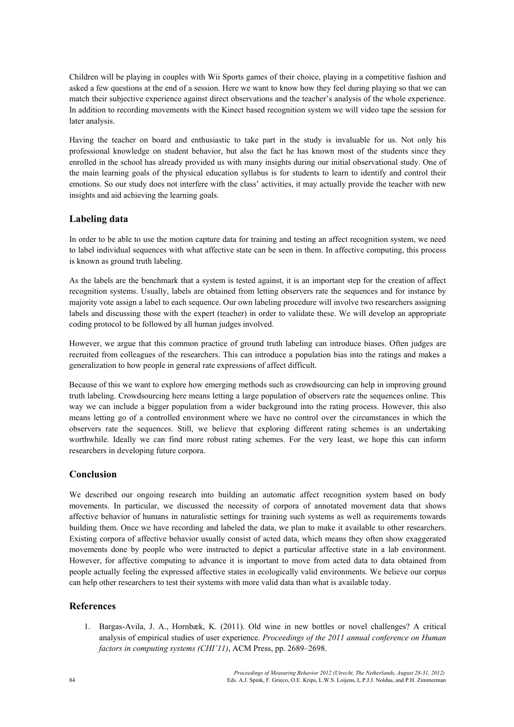Children will be playing in couples with Wii Sports games of their choice, playing in a competitive fashion and asked a few questions at the end of a session. Here we want to know how they feel during playing so that we can match their subjective experience against direct observations and the teacher's analysis of the whole experience. In addition to recording movements with the Kinect based recognition system we will video tape the session for later analysis.

Having the teacher on board and enthusiastic to take part in the study is invaluable for us. Not only his professional knowledge on student behavior, but also the fact he has known most of the students since they enrolled in the school has already provided us with many insights during our initial observational study. One of the main learning goals of the physical education syllabus is for students to learn to identify and control their emotions. So our study does not interfere with the class' activities, it may actually provide the teacher with new insights and aid achieving the learning goals.

## **Labeling data**

In order to be able to use the motion capture data for training and testing an affect recognition system, we need to label individual sequences with what affective state can be seen in them. In affective computing, this process is known as ground truth labeling.

As the labels are the benchmark that a system is tested against, it is an important step for the creation of affect recognition systems. Usually, labels are obtained from letting observers rate the sequences and for instance by majority vote assign a label to each sequence. Our own labeling procedure will involve two researchers assigning labels and discussing those with the expert (teacher) in order to validate these. We will develop an appropriate coding protocol to be followed by all human judges involved.

However, we argue that this common practice of ground truth labeling can introduce biases. Often judges are recruited from colleagues of the researchers. This can introduce a population bias into the ratings and makes a generalization to how people in general rate expressions of affect difficult.

Because of this we want to explore how emerging methods such as crowdsourcing can help in improving ground truth labeling. Crowdsourcing here means letting a large population of observers rate the sequences online. This way we can include a bigger population from a wider background into the rating process. However, this also means letting go of a controlled environment where we have no control over the circumstances in which the observers rate the sequences. Still, we believe that exploring different rating schemes is an undertaking worthwhile. Ideally we can find more robust rating schemes. For the very least, we hope this can inform researchers in developing future corpora.

## **Conclusion**

We described our ongoing research into building an automatic affect recognition system based on body movements. In particular, we discussed the necessity of corpora of annotated movement data that shows affective behavior of humans in naturalistic settings for training such systems as well as requirements towards building them. Once we have recording and labeled the data, we plan to make it available to other researchers. Existing corpora of affective behavior usually consist of acted data, which means they often show exaggerated movements done by people who were instructed to depict a particular affective state in a lab environment. However, for affective computing to advance it is important to move from acted data to data obtained from people actually feeling the expressed affective states in ecologically valid environments. We believe our corpus can help other researchers to test their systems with more valid data than what is available today.

## **References**

1. Bargas-Avila, J. A., Hornbæk, K. (2011). Old wine in new bottles or novel challenges? A critical analysis of empirical studies of user experience. *Proceedings of the 2011 annual conference on Human factors in computing systems (CHI'11)*, ACM Press, pp. 2689–2698.